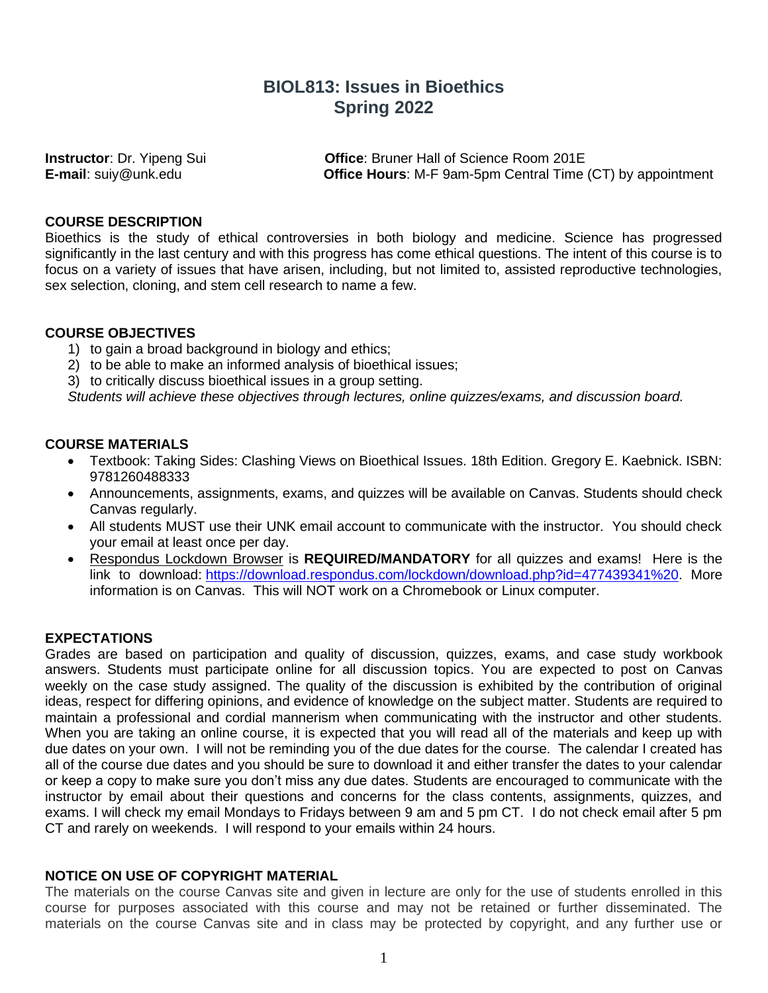# **BIOL813: Issues in Bioethics Spring 2022**

**Instructor**: Dr. Yipeng Sui **Office**: Bruner Hall of Science Room 201E **E-mail**: suiy@unk.edu **Office Hours**: M-F 9am-5pm Central Time (CT) by appointment

#### **COURSE DESCRIPTION**

Bioethics is the study of ethical controversies in both biology and medicine. Science has progressed significantly in the last century and with this progress has come ethical questions. The intent of this course is to focus on a variety of issues that have arisen, including, but not limited to, assisted reproductive technologies, sex selection, cloning, and stem cell research to name a few.

#### **COURSE OBJECTIVES**

- 1) to gain a broad background in biology and ethics;
- 2) to be able to make an informed analysis of bioethical issues;
- 3) to critically discuss bioethical issues in a group setting.

*Students will achieve these objectives through lectures, online quizzes/exams, and discussion board.*

#### **COURSE MATERIALS**

- Textbook: Taking Sides: Clashing Views on Bioethical Issues. 18th Edition. Gregory E. Kaebnick. ISBN: 9781260488333
- Announcements, assignments, exams, and quizzes will be available on Canvas. Students should check Canvas regularly.
- All students MUST use their UNK email account to communicate with the instructor. You should check your email at least once per day.
- Respondus Lockdown Browser is **REQUIRED/MANDATORY** for all quizzes and exams! Here is the link to download: [https://download.respondus.com/lockdown/download.php?id=477439341%20.](https://download.respondus.com/lockdown/download.php?id=477439341%20) More information is on Canvas. This will NOT work on a Chromebook or Linux computer.

#### **EXPECTATIONS**

Grades are based on participation and quality of discussion, quizzes, exams, and case study workbook answers. Students must participate online for all discussion topics. You are expected to post on Canvas weekly on the case study assigned. The quality of the discussion is exhibited by the contribution of original ideas, respect for differing opinions, and evidence of knowledge on the subject matter. Students are required to maintain a professional and cordial mannerism when communicating with the instructor and other students. When you are taking an online course, it is expected that you will read all of the materials and keep up with due dates on your own. I will not be reminding you of the due dates for the course. The calendar I created has all of the course due dates and you should be sure to download it and either transfer the dates to your calendar or keep a copy to make sure you don't miss any due dates. Students are encouraged to communicate with the instructor by email about their questions and concerns for the class contents, assignments, quizzes, and exams. I will check my email Mondays to Fridays between 9 am and 5 pm CT. I do not check email after 5 pm CT and rarely on weekends. I will respond to your emails within 24 hours.

# **NOTICE ON USE OF COPYRIGHT MATERIAL**

The materials on the course Canvas site and given in lecture are only for the use of students enrolled in this course for purposes associated with this course and may not be retained or further disseminated. The materials on the course Canvas site and in class may be protected by copyright, and any further use or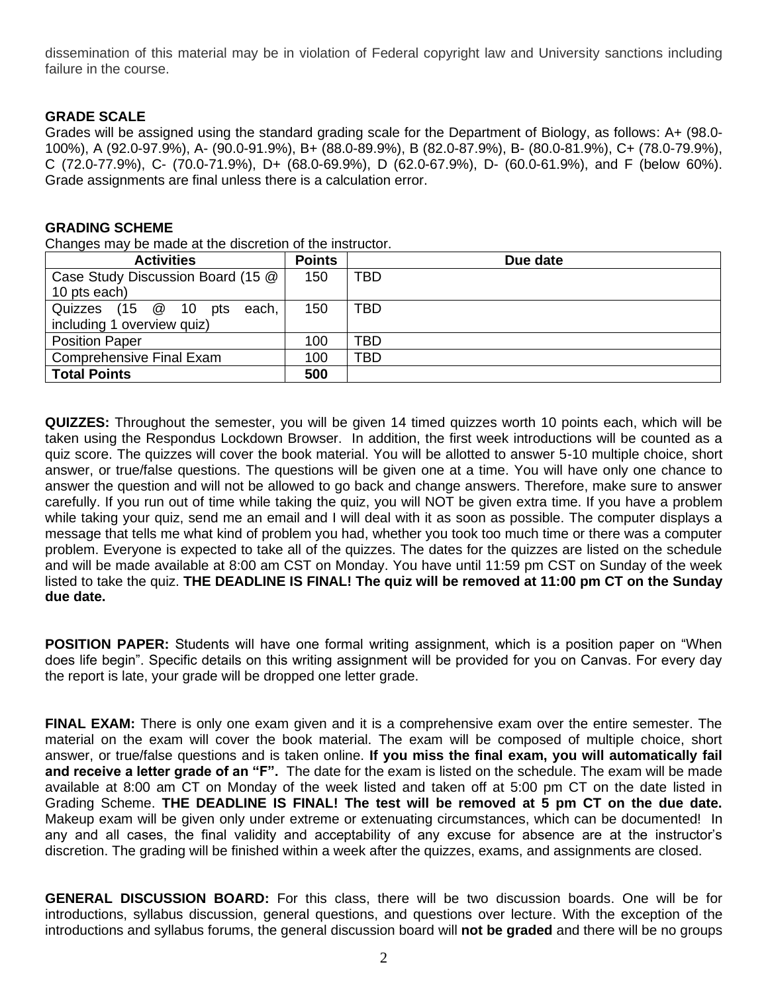dissemination of this material may be in violation of Federal copyright law and University sanctions including failure in the course.

# **GRADE SCALE**

Grades will be assigned using the standard grading scale for the Department of Biology, as follows: A+ (98.0- 100%), A (92.0-97.9%), A- (90.0-91.9%), B+ (88.0-89.9%), B (82.0-87.9%), B- (80.0-81.9%), C+ (78.0-79.9%), C (72.0-77.9%), C- (70.0-71.9%), D+ (68.0-69.9%), D (62.0-67.9%), D- (60.0-61.9%), and F (below 60%). Grade assignments are final unless there is a calculation error.

#### **GRADING SCHEME**

Changes may be made at the discretion of the instructor.

| <b>Activities</b>                 | <b>Points</b> | Due date   |
|-----------------------------------|---------------|------------|
| Case Study Discussion Board (15 @ | 150           | <b>TBD</b> |
| 10 pts each)                      |               |            |
| Quizzes (15 @ 10<br>pts<br>each.  | 150           | TBD        |
| including 1 overview quiz)        |               |            |
| <b>Position Paper</b>             | 100           | TBD        |
| Comprehensive Final Exam          | 100           | TBD        |
| <b>Total Points</b>               | 500           |            |

**QUIZZES:** Throughout the semester, you will be given 14 timed quizzes worth 10 points each, which will be taken using the Respondus Lockdown Browser. In addition, the first week introductions will be counted as a quiz score. The quizzes will cover the book material. You will be allotted to answer 5-10 multiple choice, short answer, or true/false questions. The questions will be given one at a time. You will have only one chance to answer the question and will not be allowed to go back and change answers. Therefore, make sure to answer carefully. If you run out of time while taking the quiz, you will NOT be given extra time. If you have a problem while taking your quiz, send me an email and I will deal with it as soon as possible. The computer displays a message that tells me what kind of problem you had, whether you took too much time or there was a computer problem. Everyone is expected to take all of the quizzes. The dates for the quizzes are listed on the schedule and will be made available at 8:00 am CST on Monday. You have until 11:59 pm CST on Sunday of the week listed to take the quiz. **THE DEADLINE IS FINAL! The quiz will be removed at 11:00 pm CT on the Sunday due date.** 

**POSITION PAPER:** Students will have one formal writing assignment, which is a position paper on "When does life begin". Specific details on this writing assignment will be provided for you on Canvas. For every day the report is late, your grade will be dropped one letter grade.

**FINAL EXAM:** There is only one exam given and it is a comprehensive exam over the entire semester. The material on the exam will cover the book material. The exam will be composed of multiple choice, short answer, or true/false questions and is taken online. **If you miss the final exam, you will automatically fail and receive a letter grade of an "F".** The date for the exam is listed on the schedule. The exam will be made available at 8:00 am CT on Monday of the week listed and taken off at 5:00 pm CT on the date listed in Grading Scheme. **THE DEADLINE IS FINAL! The test will be removed at 5 pm CT on the due date.**  Makeup exam will be given only under extreme or extenuating circumstances, which can be documented! In any and all cases, the final validity and acceptability of any excuse for absence are at the instructor's discretion. The grading will be finished within a week after the quizzes, exams, and assignments are closed.

**GENERAL DISCUSSION BOARD:** For this class, there will be two discussion boards. One will be for introductions, syllabus discussion, general questions, and questions over lecture. With the exception of the introductions and syllabus forums, the general discussion board will **not be graded** and there will be no groups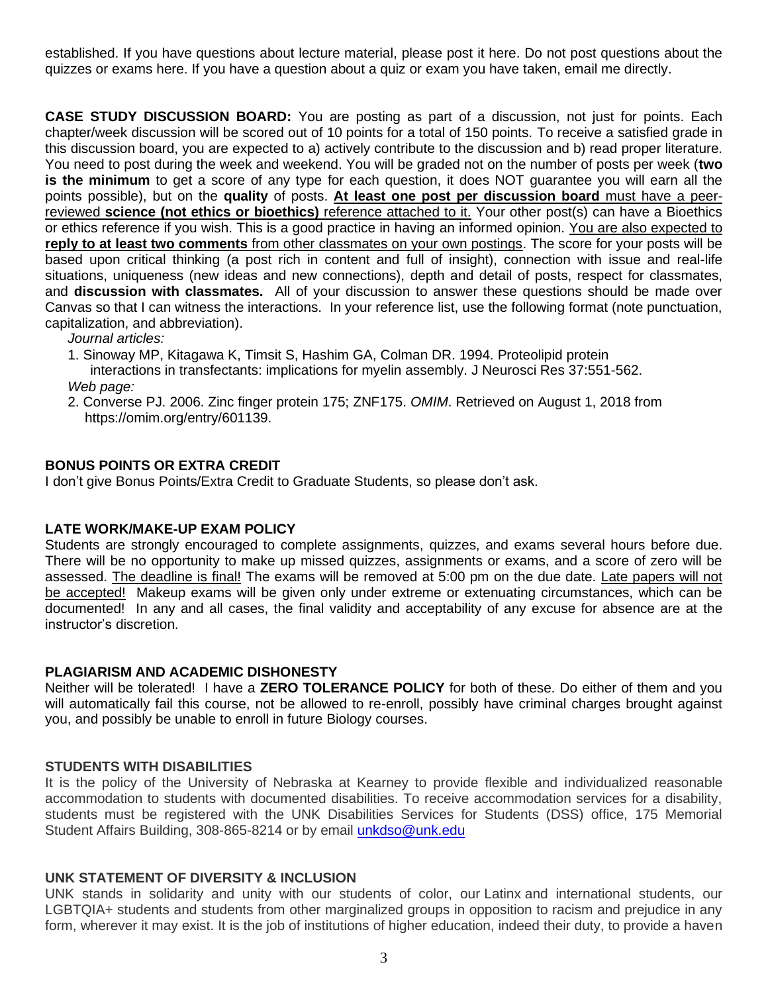established. If you have questions about lecture material, please post it here. Do not post questions about the quizzes or exams here. If you have a question about a quiz or exam you have taken, email me directly.

**CASE STUDY DISCUSSION BOARD:** You are posting as part of a discussion, not just for points. Each chapter/week discussion will be scored out of 10 points for a total of 150 points. To receive a satisfied grade in this discussion board, you are expected to a) actively contribute to the discussion and b) read proper literature. You need to post during the week and weekend. You will be graded not on the number of posts per week (**two is the minimum** to get a score of any type for each question, it does NOT guarantee you will earn all the points possible), but on the **quality** of posts. **At least one post per discussion board** must have a peerreviewed **science (not ethics or bioethics)** reference attached to it. Your other post(s) can have a Bioethics or ethics reference if you wish. This is a good practice in having an informed opinion. You are also expected to **reply to at least two comments** from other classmates on your own postings. The score for your posts will be based upon critical thinking (a post rich in content and full of insight), connection with issue and real-life situations, uniqueness (new ideas and new connections), depth and detail of posts, respect for classmates, and **discussion with classmates.** All of your discussion to answer these questions should be made over Canvas so that I can witness the interactions. In your reference list, use the following format (note punctuation, capitalization, and abbreviation).

*Journal articles:*

1. Sinoway MP, Kitagawa K, Timsit S, Hashim GA, Colman DR. 1994. Proteolipid protein

interactions in transfectants: implications for myelin assembly. J Neurosci Res 37:551-562. *Web page:*

2. Converse PJ. 2006. Zinc finger protein 175; ZNF175. *OMIM*. Retrieved on August 1, 2018 from https://omim.org/entry/601139.

#### **BONUS POINTS OR EXTRA CREDIT**

I don't give Bonus Points/Extra Credit to Graduate Students, so please don't ask.

#### **LATE WORK/MAKE-UP EXAM POLICY**

Students are strongly encouraged to complete assignments, quizzes, and exams several hours before due. There will be no opportunity to make up missed quizzes, assignments or exams, and a score of zero will be assessed. The deadline is final! The exams will be removed at 5:00 pm on the due date. Late papers will not be accepted! Makeup exams will be given only under extreme or extenuating circumstances, which can be documented! In any and all cases, the final validity and acceptability of any excuse for absence are at the instructor's discretion.

#### **PLAGIARISM AND ACADEMIC DISHONESTY**

Neither will be tolerated! I have a **ZERO TOLERANCE POLICY** for both of these. Do either of them and you will automatically fail this course, not be allowed to re-enroll, possibly have criminal charges brought against you, and possibly be unable to enroll in future Biology courses.

#### **STUDENTS WITH DISABILITIES**

It is the policy of the University of Nebraska at Kearney to provide flexible and individualized reasonable accommodation to students with documented disabilities. To receive accommodation services for a disability, students must be registered with the UNK Disabilities Services for Students (DSS) office, 175 Memorial Student Affairs Building, 308-865-8214 or by email [unkdso@unk.edu](mailto:unkdso@unk.edu)

#### **UNK STATEMENT OF DIVERSITY & INCLUSION**

UNK stands in solidarity and unity with our students of color, our Latinx and international students, our LGBTQIA+ students and students from other marginalized groups in opposition to racism and prejudice in any form, wherever it may exist. It is the job of institutions of higher education, indeed their duty, to provide a haven